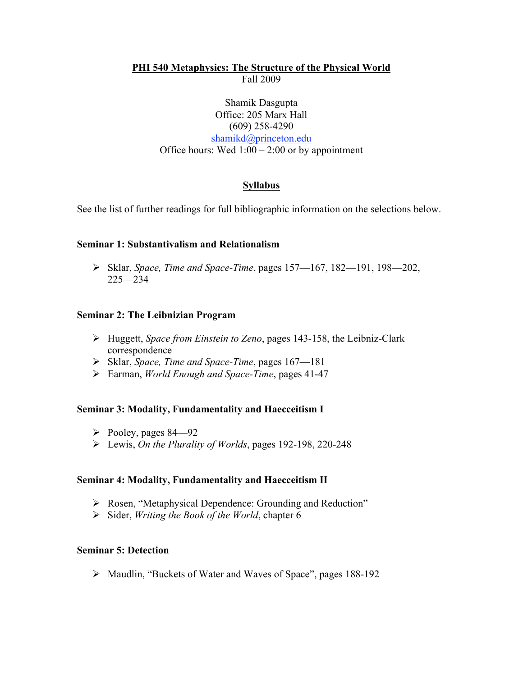# **PHI 540 Metaphysics: The Structure of the Physical World** Fall 2009

### Shamik Dasgupta Office: 205 Marx Hall (609) 258-4290 shamikd@princeton.edu Office hours: Wed  $1:00 - 2:00$  or by appointment

## **Syllabus**

See the list of further readings for full bibliographic information on the selections below.

### **Seminar 1: Substantivalism and Relationalism**

 Sklar, *Space, Time and Space-Time*, pages 157—167, 182—191, 198—202, 225—234

### **Seminar 2: The Leibnizian Program**

- Huggett, *Space from Einstein to Zeno*, pages 143-158, the Leibniz-Clark correspondence
- Sklar, *Space, Time and Space-Time*, pages 167—181
- Earman, *World Enough and Space-Time*, pages 41-47

#### **Seminar 3: Modality, Fundamentality and Haecceitism I**

- $\triangleright$  Pooley, pages 84—92
- Lewis, *On the Plurality of Worlds*, pages 192-198, 220-248

#### **Seminar 4: Modality, Fundamentality and Haecceitism II**

- Rosen, "Metaphysical Dependence: Grounding and Reduction"
- Sider, *Writing the Book of the World*, chapter 6

#### **Seminar 5: Detection**

Maudlin, "Buckets of Water and Waves of Space", pages 188-192